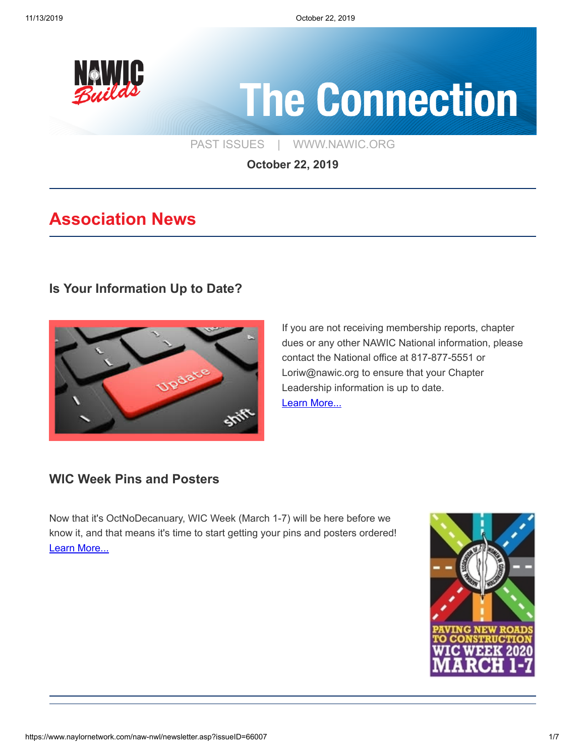

# **The Connection**

[PAST ISSUES](https://www.naylornetwork.com/naw-nwl/index.asp) | [WWW.NAWIC.ORG](https://www.nawic.org/nawic/default.asp)

**October 22, 2019**

# **Association News**

#### **[Is Your Information Up to Date?](https://www.naylornetwork.com/naw-nwl/articles/index.asp?aid=585705&issueID=66007)**



If you are not receiving membership reports, chapter dues or any other NAWIC National information, please contact the National office at 817-877-5551 or Loriw@nawic.org to ensure that your Chapter Leadership information is up to date. [Learn More...](https://www.naylornetwork.com/naw-nwl/articles/index.asp?aid=585705&issueID=66007)

#### **[WIC Week Pins and Posters](https://www.naylornetwork.com/naw-nwl/pdf/2020_WIC_Week_Pin_and_Poster_Order_Form.pdf)**

Now that it's OctNoDecanuary, WIC Week (March 1-7) will be here before we know it, and that means it's time to start getting your pins and posters ordered! [Learn More...](https://www.naylornetwork.com/naw-nwl/pdf/2020_WIC_Week_Pin_and_Poster_Order_Form.pdf)

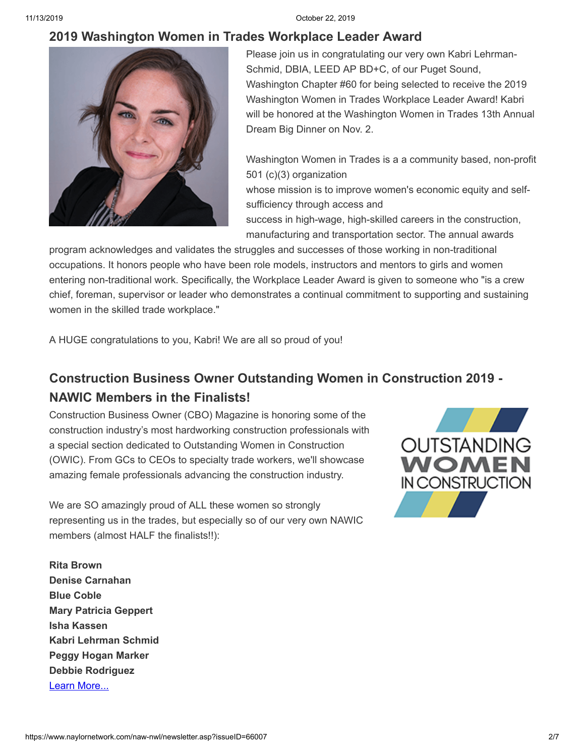11/13/2019 October 22, 2019

#### **[2019 Washington Women in Trades Workplace Leader Award](https://www.naylornetwork.com/naw-nwl/articles/index.asp?aid=585994&issueID=66007)**



Please join us in congratulating our very own Kabri Lehrman-Schmid, DBIA, LEED AP BD+C, of our Puget Sound, Washington Chapter #60 for being selected to receive the 2019 Washington Women in Trades Workplace Leader Award! Kabri will be honored at the Washington Women in Trades 13th Annual Dream Big Dinner on Nov. 2.

Washington Women in Trades is a a community based, non-profit 501 (c)(3) organization

whose mission is to improve women's economic equity and selfsufficiency through access and

success in high-wage, high-skilled careers in the construction, manufacturing and transportation sector. The annual awards

program acknowledges and validates the struggles and successes of those working in non-traditional occupations. It honors people who have been role models, instructors and mentors to girls and women entering non-traditional work. Specifically, the Workplace Leader Award is given to someone who "is a crew chief, foreman, supervisor or leader who demonstrates a continual commitment to supporting and sustaining women in the skilled trade workplace."

A HUGE congratulations to you, Kabri! We are all so proud of you!

# **[Construction Business Owner Outstanding Women in Construction 2019 -](https://www.constructionbusinessowner.com/nominate-outstanding-women-construction) NAWIC Members in the Finalists!**

Construction Business Owner (CBO) Magazine is honoring some of the construction industry's most hardworking construction professionals with a special section dedicated to Outstanding Women in Construction (OWIC). From GCs to CEOs to specialty trade workers, we'll showcase amazing female professionals advancing the construction industry.

We are SO amazingly proud of ALL these women so strongly representing us in the trades, but especially so of our very own NAWIC members (almost HALF the finalists!!):



**Rita Brown Denise Carnahan Blue Coble Mary Patricia Geppert Isha Kassen Kabri Lehrman Schmid Peggy Hogan Marker Debbie Rodriguez** [Learn More...](https://www.constructionbusinessowner.com/nominate-outstanding-women-construction)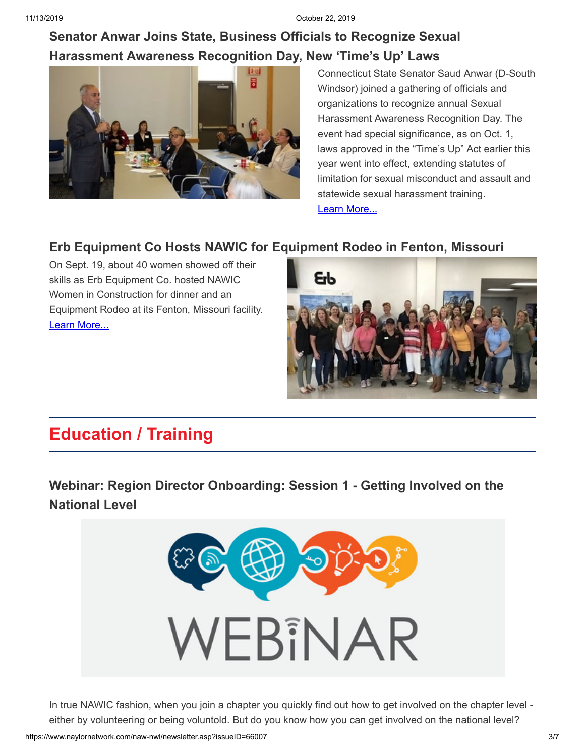## **[Senator Anwar Joins State, Business Officials to Recognize Sexual](http://www.senatedems.ct.gov/anwar-news/2873-anwar-191003#sthash.b8FOiHWq.vYv6qRGo.dpbs) Harassment Awareness Recognition Day, New 'Time's Up' Laws**



Connecticut State Senator Saud Anwar (D-South Windsor) joined a gathering of officials and organizations to recognize annual Sexual Harassment Awareness Recognition Day. The event had special significance, as on Oct. 1, laws approved in the "Time's Up" Act earlier this year went into effect, extending statutes of limitation for sexual misconduct and assault and statewide sexual harassment training. [Learn More...](http://www.senatedems.ct.gov/anwar-news/2873-anwar-191003#sthash.b8FOiHWq.vYv6qRGo.dpbs)

## **[Erb Equipment Co Hosts NAWIC for Equipment Rodeo in Fenton, Missouri](https://www.constructionequipmentguide.com/erb-equipment-co-hosts-nawic-women-in-construction-for-dinner-equipment-rodeo-at-its-facility-in-fenton-mo/46166?fbclid=IwAR2FxWQxs1OiDcwY3sU4tKkpo5MTxm6kpBxza6IIkwv6OZwOwd2TzqYvUCM)**

On Sept. 19, about 40 women showed off their skills as Erb Equipment Co. hosted NAWIC Women in Construction for dinner and an Equipment Rodeo at its Fenton, Missouri facility. [Learn More...](https://www.constructionequipmentguide.com/erb-equipment-co-hosts-nawic-women-in-construction-for-dinner-equipment-rodeo-at-its-facility-in-fenton-mo/46166?fbclid=IwAR2FxWQxs1OiDcwY3sU4tKkpo5MTxm6kpBxza6IIkwv6OZwOwd2TzqYvUCM)



# **Education / Training**

# **[Webinar: Region Director Onboarding: Session 1 - Getting Involved on the](https://www.naylornetwork.com/naw-nwl/articles/index.asp?aid=585292&issueID=66007) National Level**



In true NAWIC fashion, when you join a chapter you quickly find out how to get involved on the chapter level either by volunteering or being voluntold. But do you know how you can get involved on the national level?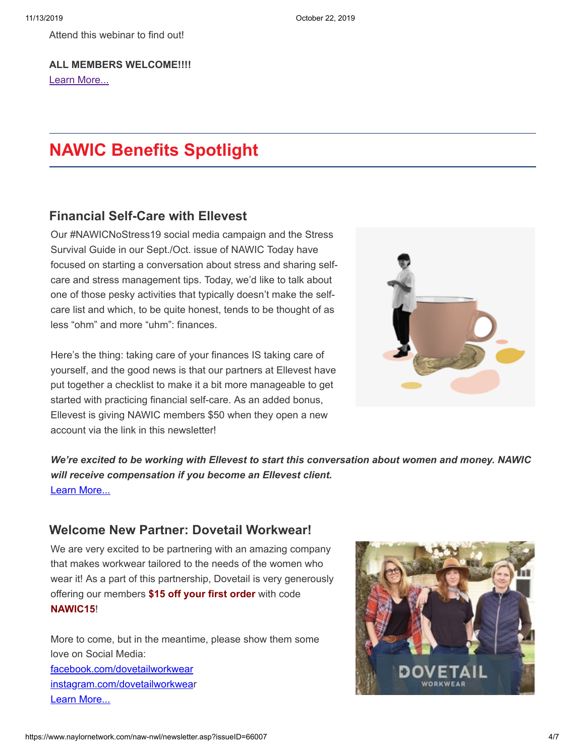Attend this webinar to find out!

**ALL MEMBERS WELCOME!!!!** [Learn More...](https://www.naylornetwork.com/naw-nwl/articles/index.asp?aid=585292&issueID=66007)

# **NAWIC Benefits Spotlight**

#### **[Financial Self-Care with Ellevest](https://ellevest-esign.pxf.io/c/1393477/688022/5402)**

Our #NAWICNoStress19 social media campaign and the Stress Survival Guide in our Sept./Oct. issue of NAWIC Today have focused on starting a conversation about stress and sharing selfcare and stress management tips. Today, we'd like to talk about one of those pesky activities that typically doesn't make the selfcare list and which, to be quite honest, tends to be thought of as less "ohm" and more "uhm": finances.

Here's the thing: taking care of your finances IS taking care of yourself, and the good news is that our partners at Ellevest have put together a checklist to make it a bit more manageable to get started with practicing financial self-care. As an added bonus, Ellevest is giving NAWIC members \$50 when they open a new account via the link in this newsletter!



*We're excited to be working with Ellevest to start this conversation about women and money. NAWIC will receive compensation if you become an Ellevest client.* [Learn More...](https://ellevest-esign.pxf.io/c/1393477/688022/5402)

#### **[Welcome New Partner: Dovetail Workwear!](https://www.naylornetwork.com/naw-nwl/pdf/Dovetail_Brand_Brief.pdf)**

We are very excited to be partnering with an amazing company that makes workwear tailored to the needs of the women who wear it! As a part of this partnership, Dovetail is very generously offering our members **\$15 off your first order** with code **NAWIC15**!

More to come, but in the meantime, please show them some love on Social Media: [facebook.com/dovetailworkwear](https://www.facebook.com/dovetailworkwear/) [instagram.com/dovetailworkwea](https://www.instagram.com/dovetailworkwear/)r [Learn More...](https://www.naylornetwork.com/naw-nwl/pdf/Dovetail_Brand_Brief.pdf)

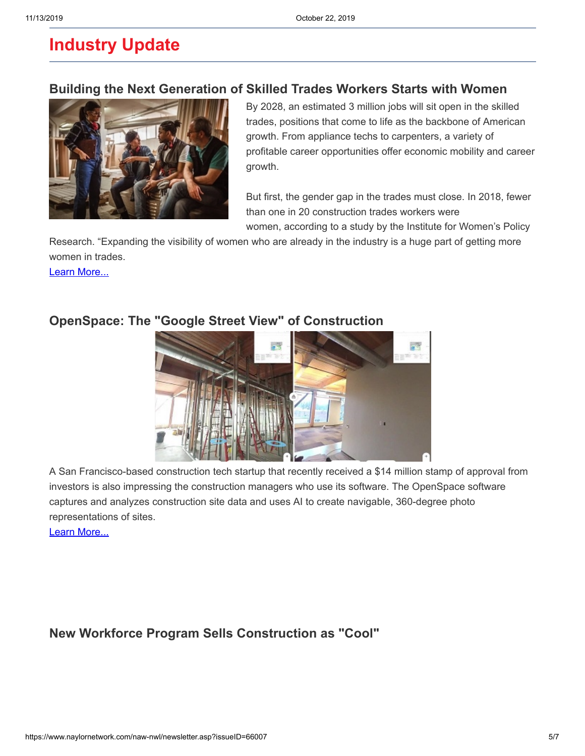# **Industry Update**

#### **[Building the Next Generation of Skilled Trades Workers Starts with Women](https://www.usatoday.com/story/sponsor-story/lowes/2019/08/27/building-next-generation-skilled-trades-workers-starts-women/2130093001/?fbclid=IwAR2TK1Xw0qgxZpaTdNz_CcdVzH5NqFBPzse_p9Yr5Y-FIF1JEhfBOUrbh8w)**



By 2028, an estimated 3 million jobs will sit open in the skilled trades, positions that come to life as the backbone of American growth. From appliance techs to carpenters, a variety of profitable career opportunities offer economic mobility and career growth.

But first, the gender gap in the trades must close. In 2018, fewer than one in 20 construction trades workers were women, according to a study by the Institute for Women's Policy

Research. "Expanding the visibility of women who are already in the industry is a huge part of getting more women in trades.

[Learn More...](https://www.usatoday.com/story/sponsor-story/lowes/2019/08/27/building-next-generation-skilled-trades-workers-starts-women/2130093001/?fbclid=IwAR2TK1Xw0qgxZpaTdNz_CcdVzH5NqFBPzse_p9Yr5Y-FIF1JEhfBOUrbh8w)



#### **[OpenSpace: The "Google Street View" of Construction](https://www.constructiondive.com/news/openspace-the-google-street-view-of-construction-called-a-game-changer/564673/)**

A San Francisco-based construction tech startup that recently received a \$14 million stamp of approval from investors is also impressing the construction managers who use its software. The OpenSpace software captures and analyzes construction site data and uses AI to create navigable, 360-degree photo representations of sites.

[Learn More...](https://www.constructiondive.com/news/openspace-the-google-street-view-of-construction-called-a-game-changer/564673/)

## **[New Workforce Program Sells Construction as "Cool"](https://www.constructiondive.com/news/new-workforce-program-sells-construction-as-cool/564499/)**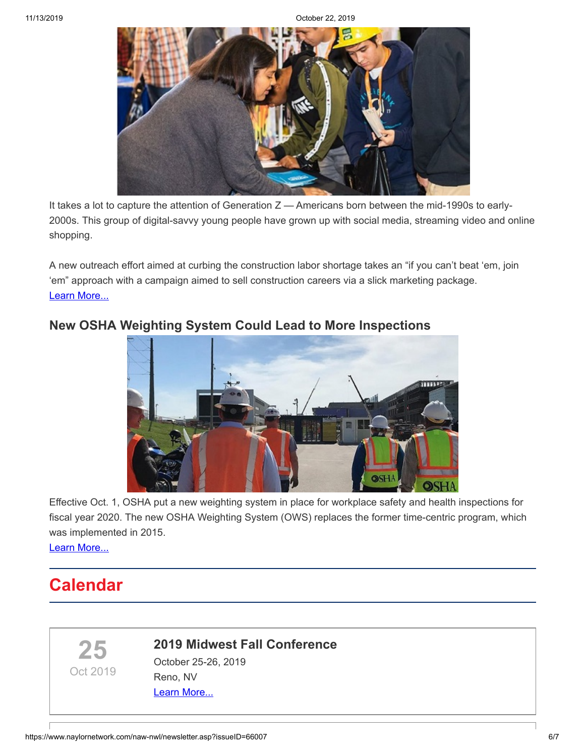11/13/2019 October 22, 2019



It takes a lot to capture the attention of Generation  $Z$  — Americans born between the mid-1990s to early-2000s. This group of digital-savvy young people have grown up with social media, streaming video and online shopping.

A new outreach effort aimed at curbing the construction labor shortage takes an "if you can't beat 'em, join 'em" approach with a campaign aimed to sell construction careers via a slick marketing package. [Learn More...](https://www.constructiondive.com/news/new-workforce-program-sells-construction-as-cool/564499/)



#### **[New OSHA Weighting System Could Lead to More Inspections](https://www.constructiondive.com/news/new-osha-weighting-system-could-lead-to-more-inspections/564356/)**

Effective Oct. 1, OSHA put a new weighting system in place for workplace safety and health inspections for fiscal year 2020. The new OSHA Weighting System (OWS) replaces the former time-centric program, which was implemented in 2015.

[Learn More...](https://www.constructiondive.com/news/new-osha-weighting-system-could-lead-to-more-inspections/564356/)

# **Calendar**

**25**

Oct 2019



October 25-26, 2019 Reno, NV [Learn More...](https://www.nawicmidwestregion.org/2019-fall-conference.html)